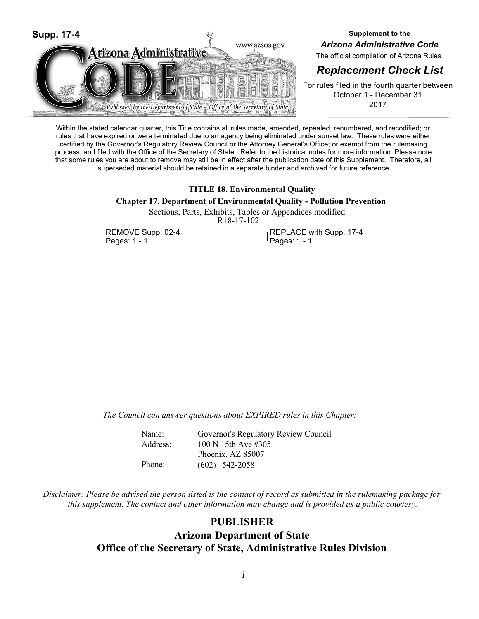

**Supplement to the** *Arizona Administrative Code*

The official compilation of Arizona Rules

# *Replacement Check List*

For rules filed in the fourth quarter between October 1 - December 31 2017

Within the stated calendar quarter, this Title contains all rules made, amended, repealed, renumbered, and recodified; or rules that have expired or were terminated due to an agency being eliminated under sunset law. These rules were either certified by the Governor's Regulatory Review Council or the Attorney General's Office; or exempt from the rulemaking process, and filed with the Office of the Secretary of State. Refer to the historical notes for more information. Please note that some rules you are about to remove may still be in effect after the publication date of this Supplement. Therefore, all superseded material should be retained in a separate binder and archived for future reference.

# **TITLE 18. Environmental Quality**

# **Chapter 17. Department of Environmental Quality - Pollution Prevention**

R18-17-102 Sections, Parts, Exhibits, Tables or Appendices modified



REPLACE with Supp. 17-4 Pages: 1 - 1

*The Council can answer questions about EXPIRED rules in this Chapter:*

| Governor's Regulatory Review Council |
|--------------------------------------|
| 100 N 15th Ave #305                  |
| Phoenix, AZ 85007                    |
| $(602)$ 542-2058                     |
|                                      |

*Disclaimer: Please be advised the person listed is the contact of record as submitted in the rulemaking package for this supplement. The contact and other information may change and is provided as a public courtesy.*

# **PUBLISHER**

# **Arizona Department of State Office of the Secretary of State, Administrative Rules Division**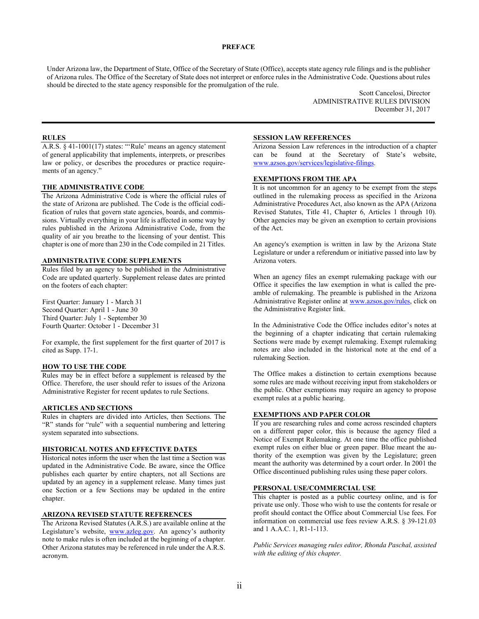### **PREFACE**

Under Arizona law, the Department of State, Office of the Secretary of State (Office), accepts state agency rule filings and is the publisher of Arizona rules. The Office of the Secretary of State does not interpret or enforce rules in the Administrative Code. Questions about rules should be directed to the state agency responsible for the promulgation of the rule.

> Scott Cancelosi, Director ADMINISTRATIVE RULES DIVISION December 31, 2017

#### **RULES**

A.R.S. § 41-1001(17) states: "'Rule' means an agency statement of general applicability that implements, interprets, or prescribes law or policy, or describes the procedures or practice requirements of an agency."

#### **THE ADMINISTRATIVE CODE**

The Arizona Administrative Code is where the official rules of the state of Arizona are published. The Code is the official codification of rules that govern state agencies, boards, and commissions. Virtually everything in your life is affected in some way by rules published in the Arizona Administrative Code, from the quality of air you breathe to the licensing of your dentist. This chapter is one of more than 230 in the Code compiled in 21 Titles.

### **ADMINISTRATIVE CODE SUPPLEMENTS**

Rules filed by an agency to be published in the Administrative Code are updated quarterly. Supplement release dates are printed on the footers of each chapter:

First Quarter: January 1 - March 31 Second Quarter: April 1 - June 30 Third Quarter: July 1 - September 30 Fourth Quarter: October 1 - December 31

For example, the first supplement for the first quarter of 2017 is cited as Supp. 17-1.

#### **HOW TO USE THE CODE**

Rules may be in effect before a supplement is released by the Office. Therefore, the user should refer to issues of the Arizona Administrative Register for recent updates to rule Sections.

#### **ARTICLES AND SECTIONS**

Rules in chapters are divided into Articles, then Sections. The "R" stands for "rule" with a sequential numbering and lettering system separated into subsections.

#### **HISTORICAL NOTES AND EFFECTIVE DATES**

Historical notes inform the user when the last time a Section was updated in the Administrative Code. Be aware, since the Office publishes each quarter by entire chapters, not all Sections are updated by an agency in a supplement release. Many times just one Section or a few Sections may be updated in the entire chapter.

## **ARIZONA REVISED STATUTE REFERENCES**

The Arizona Revised Statutes (A.R.S.) are available online at the Legislature's website, www.azleg.gov. An agency's authority note to make rules is often included at the beginning of a chapter. Other Arizona statutes may be referenced in rule under the A.R.S. acronym.

## **SESSION LAW REFERENCES**

Arizona Session Law references in the introduction of a chapter can be found at the Secretary of State's website, www.azsos.gov/services/legislative-filings.

#### **EXEMPTIONS FROM THE APA**

It is not uncommon for an agency to be exempt from the steps outlined in the rulemaking process as specified in the Arizona Administrative Procedures Act, also known as the APA (Arizona Revised Statutes, Title 41, Chapter 6, Articles 1 through 10). Other agencies may be given an exemption to certain provisions of the Act.

An agency's exemption is written in law by the Arizona State Legislature or under a referendum or initiative passed into law by Arizona voters.

When an agency files an exempt rulemaking package with our Office it specifies the law exemption in what is called the preamble of rulemaking. The preamble is published in the Arizona Administrative Register online at www.azsos.gov/rules, click on the Administrative Register link.

In the Administrative Code the Office includes editor's notes at the beginning of a chapter indicating that certain rulemaking Sections were made by exempt rulemaking. Exempt rulemaking notes are also included in the historical note at the end of a rulemaking Section.

The Office makes a distinction to certain exemptions because some rules are made without receiving input from stakeholders or the public. Other exemptions may require an agency to propose exempt rules at a public hearing.

#### **EXEMPTIONS AND PAPER COLOR**

If you are researching rules and come across rescinded chapters on a different paper color, this is because the agency filed a Notice of Exempt Rulemaking. At one time the office published exempt rules on either blue or green paper. Blue meant the authority of the exemption was given by the Legislature; green meant the authority was determined by a court order. In 2001 the Office discontinued publishing rules using these paper colors.

### **PERSONAL USE/COMMERCIAL USE**

This chapter is posted as a public courtesy online, and is for private use only. Those who wish to use the contents for resale or profit should contact the Office about Commercial Use fees. For information on commercial use fees review A.R.S. § 39-121.03 and 1 A.A.C. 1, R1-1-113.

*Public Services managing rules editor, Rhonda Paschal, assisted with the editing of this chapter.*